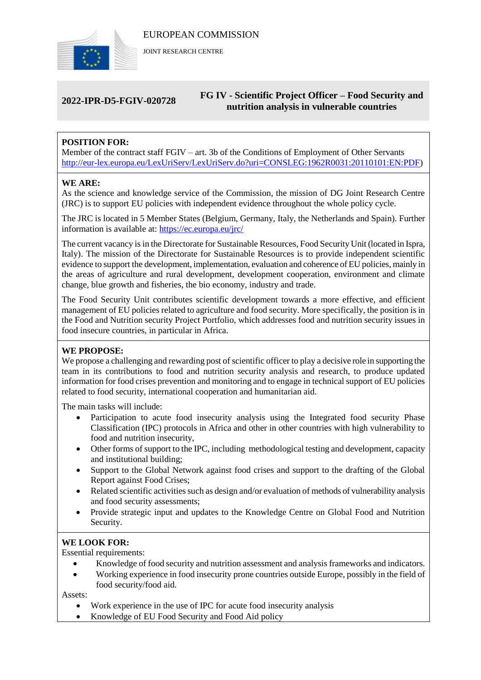

JOINT RESEARCH CENTRE

# **2022-IPR-D5-FGIV-020728 FG IV - Scientific Project Officer – Food Security and nutrition analysis in vulnerable countries**

# **POSITION FOR:**

Member of the contract staff FGIV – art. 3b of the Conditions of Employment of Other Servants [http://eur-lex.europa.eu/LexUriServ/LexUriServ.do?uri=CONSLEG:1962R0031:20110101:EN:PDF\)](http://eur-lex.europa.eu/LexUriServ/LexUriServ.do?uri=CONSLEG:1962R0031:20110101:EN:PDF)

# **WE ARE:**

As the science and knowledge service of the Commission, the mission of DG Joint Research Centre (JRC) is to support EU policies with independent evidence throughout the whole policy cycle.

The JRC is located in 5 Member States (Belgium, Germany, Italy, the Netherlands and Spain). Further information is available at: <https://ec.europa.eu/jrc/>

The current vacancy is in the Directorate for Sustainable Resources, Food Security Unit (located in Ispra, Italy). The mission of the Directorate for Sustainable Resources is to provide independent scientific evidence to support the development, implementation, evaluation and coherence of EU policies, mainly in the areas of agriculture and rural development, development cooperation, environment and climate change, blue growth and fisheries, the bio economy, industry and trade.

The Food Security Unit contributes scientific development towards a more effective, and efficient management of EU policies related to agriculture and food security. More specifically, the position is in the Food and Nutrition security Project Portfolio, which addresses food and nutrition security issues in food insecure countries, in particular in Africa.

# **WE PROPOSE:**

We propose a challenging and rewarding post of scientific officer to play a decisive role in supporting the team in its contributions to food and nutrition security analysis and research, to produce updated information for food crises prevention and monitoring and to engage in technical support of EU policies related to food security, international cooperation and humanitarian aid.

The main tasks will include:

- Participation to acute food insecurity analysis using the Integrated food security Phase Classification (IPC) protocols in Africa and other in other countries with high vulnerability to food and nutrition insecurity,
- Other forms of support to the IPC, including methodological testing and development, capacity and institutional building;
- Support to the Global Network against food crises and support to the drafting of the Global Report against Food Crises;
- Related scientific activities such as design and/or evaluation of methods of vulnerability analysis and food security assessments;
- Provide strategic input and updates to the Knowledge Centre on Global Food and Nutrition Security.

# **WE LOOK FOR:**

Essential requirements:

- Knowledge of food security and nutrition assessment and analysis frameworks and indicators.
- Working experience in food insecurity prone countries outside Europe, possibly in the field of food security/food aid.

Assets:

- Work experience in the use of IPC for acute food insecurity analysis
- Knowledge of EU Food Security and Food Aid policy